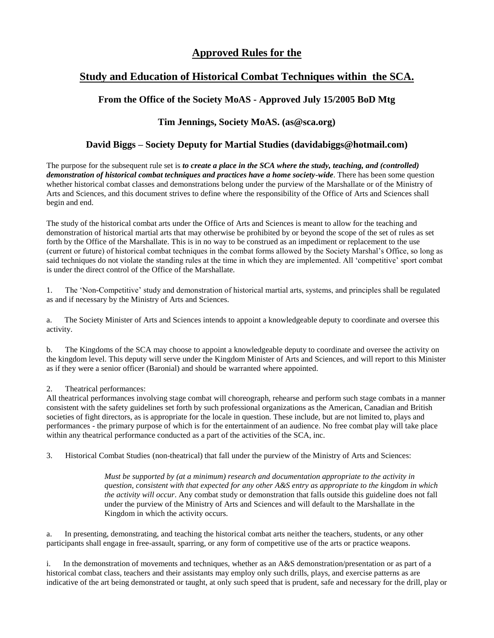# **Approved Rules for the**

# **Study and Education of Historical Combat Techniques within the SCA.**

## **From the Office of the Society MoAS - Approved July 15/2005 BoD Mtg**

## **Tim Jennings, Society MoAS. (as@sca.org)**

### **David Biggs – Society Deputy for Martial Studies (davidabiggs@hotmail.com)**

The purpose for the subsequent rule set is *to create a place in the SCA where the study, teaching, and (controlled) demonstration of historical combat techniques and practices have a home society-wide*. There has been some question whether historical combat classes and demonstrations belong under the purview of the Marshallate or of the Ministry of Arts and Sciences, and this document strives to define where the responsibility of the Office of Arts and Sciences shall begin and end.

The study of the historical combat arts under the Office of Arts and Sciences is meant to allow for the teaching and demonstration of historical martial arts that may otherwise be prohibited by or beyond the scope of the set of rules as set forth by the Office of the Marshallate. This is in no way to be construed as an impediment or replacement to the use (current or future) of historical combat techniques in the combat forms allowed by the Society Marshal's Office, so long as said techniques do not violate the standing rules at the time in which they are implemented. All 'competitive' sport combat is under the direct control of the Office of the Marshallate.

1. The 'Non-Competitive' study and demonstration of historical martial arts, systems, and principles shall be regulated as and if necessary by the Ministry of Arts and Sciences.

a. The Society Minister of Arts and Sciences intends to appoint a knowledgeable deputy to coordinate and oversee this activity.

b. The Kingdoms of the SCA may choose to appoint a knowledgeable deputy to coordinate and oversee the activity on the kingdom level. This deputy will serve under the Kingdom Minister of Arts and Sciences, and will report to this Minister as if they were a senior officer (Baronial) and should be warranted where appointed.

#### 2. Theatrical performances:

All theatrical performances involving stage combat will choreograph, rehearse and perform such stage combats in a manner consistent with the safety guidelines set forth by such professional organizations as the American, Canadian and British societies of fight directors, as is appropriate for the locale in question. These include, but are not limited to, plays and performances - the primary purpose of which is for the entertainment of an audience. No free combat play will take place within any theatrical performance conducted as a part of the activities of the SCA, inc.

3. Historical Combat Studies (non-theatrical) that fall under the purview of the Ministry of Arts and Sciences:

*Must be supported by (at a minimum) research and documentation appropriate to the activity in question, consistent with that expected for any other A&S entry as appropriate to the kingdom in which the activity will occur*. Any combat study or demonstration that falls outside this guideline does not fall under the purview of the Ministry of Arts and Sciences and will default to the Marshallate in the Kingdom in which the activity occurs.

a. In presenting, demonstrating, and teaching the historical combat arts neither the teachers, students, or any other participants shall engage in free-assault, sparring, or any form of competitive use of the arts or practice weapons.

i. In the demonstration of movements and techniques, whether as an A&S demonstration/presentation or as part of a historical combat class, teachers and their assistants may employ only such drills, plays, and exercise patterns as are indicative of the art being demonstrated or taught, at only such speed that is prudent, safe and necessary for the drill, play or